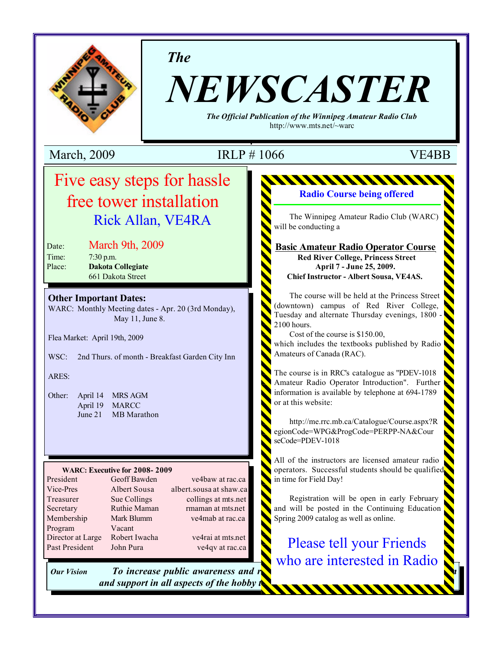

*The*

# *NEWSCASTER*

*The Official Publication of the Winnipeg Amateur Radio Club* http://www.mts.net/~warc

March, 2009 **IRLP** # 1066 **VE4BB** 

## Five easy steps for hassle free tower installation **ENGINEERING** Rick Allan, VE4RA

Date: March 9th, 2009 Time: 7:30 p.m.

Time: 7:30 p.m.<br>Place: **Dakota Collegiate** 661 Dakota Street

#### **Other Important Dates:**

WARC: Monthly Meeting dates - Apr. 20 (3rd Monday), May 11, June 8.

Flea Market: April 19th, 2009

WSC: 2nd Thurs. of month - Breakfast Garden City Inn

ARES:

Other: April 14 MRS AGM April 19 MARCC June 21 MB Marathon

#### **WARC: Executive for 2008- 2009**

Program Vacant Past President John Pura ve4qv at rac.ca

President Geoff Bawden ve4baw at rac.ca Vice-Pres Albert Sousa albert.sousa at shaw.ca Treasurer Sue Collings collings at mts.net Secretary Ruthie Maman rmaman at mts.net Membership Mark Blumm ve4mab at rac.ca Director at Large Robert Iwacha ve4rai at mts.net

*Our Vision <i>To increase public awareness and r and support in all aspects of the hobby <i>i*.

## **Radio Course being offered**

<u>MANAMAN</u>

The Winnipeg Amateur Radio Club (WARC) will be conducting a

#### **Basic Amateur Radio Operator Course Red River College, Princess Street April 7 - June 25, 2009. Chief Instructor - Albert Sousa, VE4AS.**

The course will be held at the Princess Street (downtown) campus of Red River College, Tuesday and alternate Thursday evenings, 1800 2100 hours.

Cost of the course is \$150.00, which includes the textbooks published by Radio Amateurs of Canada (RAC).

The course is in RRC's catalogue as "PDEV-1018 Amateur Radio Operator Introduction". Further information is available by telephone at 694-1789 or at this website:

http://me.rrc.mb.ca/Catalogue/Course.aspx?R egionCode=WPG&ProgCode=PERPP-NA&Cour seCode=PDEV-1018

All of the instructors are licensed amateur radio operators. Successful students should be qualified in time for Field Day!

Registration will be open in early February and will be posted in the Continuing Education Spring 2009 catalog as well as online.

Please tell your Friends who are interested in Radio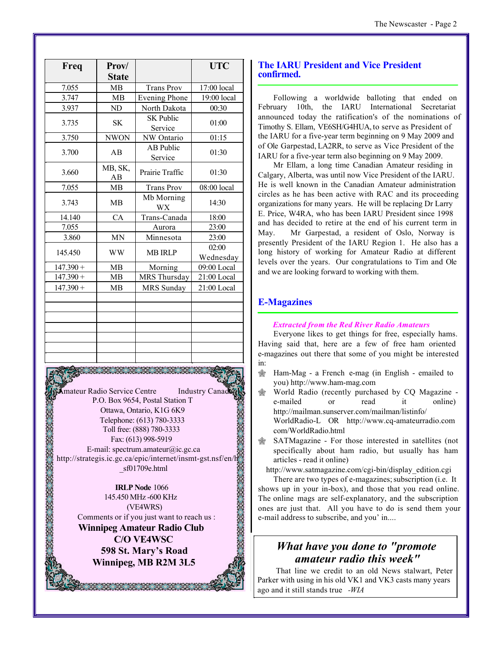| Freq        | Prov/         |                             | <b>UTC</b>         |  |
|-------------|---------------|-----------------------------|--------------------|--|
|             | <b>State</b>  |                             |                    |  |
| 7.055       | <b>MB</b>     | <b>Trans Prov</b>           | 17:00 local        |  |
| 3.747       | MB            | <b>Evening Phone</b>        | 19:00 local        |  |
| 3.937       | ND            | North Dakota                | 00:30              |  |
| 3.735       | <b>SK</b>     | <b>SK Public</b><br>Service | 01:00              |  |
| 3.750       | <b>NWON</b>   | NW Ontario                  | 01:15              |  |
| 3.700       | AB            | AB Public<br>Service        | 01:30              |  |
| 3.660       | MB, SK,<br>AB | Prairie Traffic             | 01:30              |  |
| 7.055       | <b>MB</b>     | <b>Trans Prov</b>           | 08:00 local        |  |
| 3.743       | MB            | Mb Morning<br><b>WX</b>     | 14:30              |  |
| 14.140      | CA            | Trans-Canada                | 18:00              |  |
| 7.055       |               | Aurora                      | 23:00              |  |
| 3.860       | <b>MN</b>     | Minnesota                   | 23:00              |  |
| 145.450     | <b>WW</b>     | <b>MB IRLP</b>              | 02:00<br>Wednesday |  |
| $147.390 +$ | <b>MB</b>     | Morning                     | 09:00 Local        |  |
| $147.390 +$ | <b>MB</b>     | MRS Thursday                | 21:00 Local        |  |
| $147.390 +$ | <b>MB</b>     | <b>MRS</b> Sunday           | 21:00 Local        |  |
|             |               |                             |                    |  |
|             |               |                             |                    |  |
|             |               |                             |                    |  |
|             |               |                             |                    |  |
|             |               |                             |                    |  |
|             |               |                             |                    |  |
|             |               |                             |                    |  |

**Amateur Radio Service Centre** Industry Canad P.O. Box 9654, Postal Station T Ottawa, Ontario, K1G 6K9 Telephone: (613) 780-3333 Toll free: (888) 780-3333 Fax: (613) 998-5919 E-mail: spectrum.amateur@ic.gc.ca http://strategis.ic.gc.ca/epic/internet/insmt-gst.nsf/en/h \_sf01709e.html

**IRLP Node** 1066 145.450 MHz -600 KHz (VE4WRS) Comments or if you just want to reach us :

**Winnipeg Amateur Radio Club C/O VE4WSC 598 St. Mary's Road Winnipeg, MB R2M 3L5**

38. 38. 38. 38. 38. 38

#### **The IARU President and Vice President confirmed.**

Following a worldwide balloting that ended on February 10th, the IARU International Secretariat announced today the ratification's of the nominations of Timothy S. Ellam, VE6SH/G4HUA, to serve as President of the IARU for a five-year term beginning on 9 May 2009 and of Ole Garpestad, LA2RR, to serve as Vice President of the IARU for a five-year term also beginning on 9 May 2009.

Mr Ellam, a long time Canadian Amateur residing in Calgary, Alberta, was until now Vice President of the IARU. He is well known in the Canadian Amateur administration circles as he has been active with RAC and its proceeding organizations for many years. He will be replacing Dr Larry E. Price, W4RA, who has been IARU President since 1998 and has decided to retire at the end of his current term in May. Mr Garpestad, a resident of Oslo, Norway is presently President of the IARU Region 1. He also has a long history of working for Amateur Radio at different levels over the years. Our congratulations to Tim and Ole and we are looking forward to working with them.

#### **E-Magazines**

#### *Extracted from the Red River Radio Amateurs*

Everyone likes to get things for free, especially hams. Having said that, here are a few of free ham oriented e-magazines out there that some of you might be interested in:

- $\hat{\otimes}$  Ham-Mag a French e-mag (in English emailed to you) http://www.ham-mag.com
- $\circledast$  World Radio (recently purchased by CQ Magazine e-mailed or read it online) http://mailman.sunserver.com/mailman/listinfo/ WorldRadio-L OR http://www.cq-amateurradio.com com/WorldRadio.html
- SATMagazine For those interested in satellites (not specifically about ham radio, but usually has ham articles - read it online)

http://www.satmagazine.com/cgi-bin/display\_edition.cgi

There are two types of e-magazines; subscription (i.e. It shows up in your in-box), and those that you read online. The online mags are self-explanatory, and the subscription ones are just that. All you have to do is send them your e-mail address to subscribe, and you' in....

## *What have you done to "promote amateur radio this week"*

 That line we credit to an old News stalwart, Peter Parker with using in his old VK1 and VK3 casts many years ago and it still stands true *-WIA*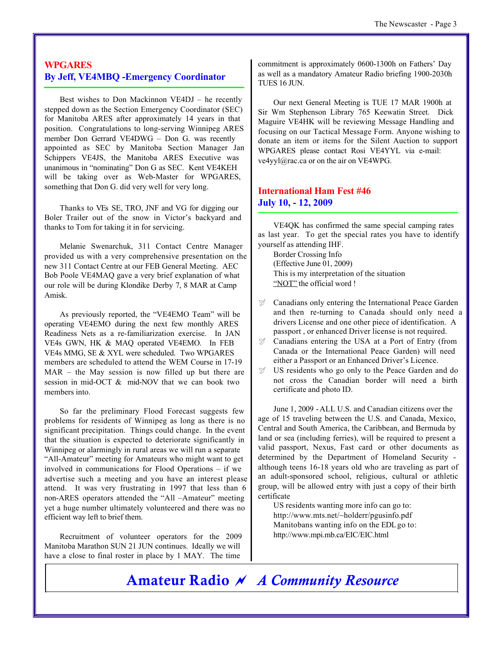#### **WPGARES By Jeff, VE4MBQ -Emergency Coordinator**

Best wishes to Don Mackinnon VE4DJ – he recently stepped down as the Section Emergency Coordinator (SEC) for Manitoba ARES after approximately 14 years in that position. Congratulations to long-serving Winnipeg ARES member Don Gerrard VE4DWG – Don G. was recently appointed as SEC by Manitoba Section Manager Jan Schippers VE4JS, the Manitoba ARES Executive was unanimous in "nominating" Don G as SEC. Kent VE4KEH will be taking over as Web-Master for WPGARES, something that Don G. did very well for very long.

Thanks to VEs SE, TRO, JNF and VG for digging our Boler Trailer out of the snow in Victor's backyard and thanks to Tom for taking it in for servicing.

Melanie Swenarchuk, 311 Contact Centre Manager provided us with a very comprehensive presentation on the new 311 Contact Centre at our FEB General Meeting. AEC Bob Poole VE4MAQ gave a very brief explanation of what our role will be during Klondike Derby 7, 8 MAR at Camp Amisk.

As previously reported, the "VE4EMO Team" will be operating VE4EMO during the next few monthly ARES Readiness Nets as a re-familiarization exercise. In JAN VE4s GWN, HK & MAQ operated VE4EMO. In FEB VE4s MMG, SE & XYL were scheduled. Two WPGARES members are scheduled to attend the WEM Course in 17-19 MAR – the May session is now filled up but there are session in mid-OCT & mid-NOV that we can book two members into

So far the preliminary Flood Forecast suggests few problems for residents of Winnipeg as long as there is no significant precipitation. Things could change. In the event that the situation is expected to deteriorate significantly in Winnipeg or alarmingly in rural areas we will run a separate "All-Amateur" meeting for Amateurs who might want to get involved in communications for Flood Operations – if we advertise such a meeting and you have an interest please attend. It was very frustrating in 1997 that less than 6 non-ARES operators attended the "All –Amateur" meeting yet a huge number ultimately volunteered and there was no efficient way left to brief them.

Recruitment of volunteer operators for the 2009 Manitoba Marathon SUN 21 JUN continues. Ideally we will have a close to final roster in place by 1 MAY. The time

commitment is approximately 0600-1300h on Fathers' Day as well as a mandatory Amateur Radio briefing 1900-2030h TUES 16 JUN.

Our next General Meeting is TUE 17 MAR 1900h at Sir Wm Stephenson Library 765 Keewatin Street. Dick Maguire VE4HK will be reviewing Message Handling and focusing on our Tactical Message Form. Anyone wishing to donate an item or items for the Silent Auction to support WPGARES please contact Rosi VE4YYL via e-mail: ve4yyl@rac.ca or on the air on VE4WPG.

### **International Ham Fest #46 July 10, - 12, 2009**

VE4QK has confirmed the same special camping rates as last year. To get the special rates you have to identify yourself as attending IHF.

Border Crossing Info (Effective June 01, 2009) This is my interpretation of the situation "NOT" the official word !

- $\mathcal{V}$  Canadians only entering the International Peace Garden and then re-turning to Canada should only need a drivers License and one other piece of identification. A passport , or enhanced Driver license is not required.
- $\mathcal{I}$  Canadians entering the USA at a Port of Entry (from Canada or the International Peace Garden) will need either a Passport or an Enhanced Driver's Licence.
- $\mathcal{V}$  US residents who go only to the Peace Garden and do not cross the Canadian border will need a birth certificate and photo ID.

June 1, 2009 -ALL U.S. and Canadian citizens over the age of 15 traveling between the U.S. and Canada, Mexico, Central and South America, the Caribbean, and Bermuda by land or sea (including ferries), will be required to present a valid passport, Nexus, Fast card or other documents as determined by the Department of Homeland Security although teens 16-18 years old who are traveling as part of an adult-sponsored school, religious, cultural or athletic group, will be allowed entry with just a copy of their birth certificate

US residents wanting more info can go to: http://www.mts.net/~holderr/pgusinfo.pdf Manitobans wanting info on the EDL go to: http://www.mpi.mb.ca/EIC/EIC.html

**Amateur Radio** ~ *A Community Resource*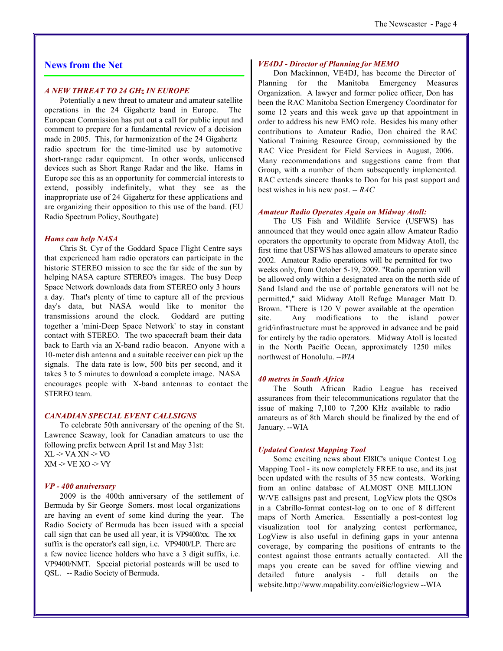#### **News from the Net**

#### *A NEW THREAT TO 24 GHz IN EUROPE*

Potentially a new threat to amateur and amateur satellite operations in the 24 Gigahertz band in Europe. The European Commission has put out a call for public input and comment to prepare for a fundamental review of a decision made in 2005. This, for harmonization of the 24 Gigahertz radio spectrum for the time-limited use by automotive short-range radar equipment. In other words, unlicensed devices such as Short Range Radar and the like. Hams in Europe see this as an opportunity for commercial interests to extend, possibly indefinitely, what they see as the inappropriate use of 24 Gigahertz for these applications and are organizing their opposition to this use of the band. (EU Radio Spectrum Policy, Southgate)

#### *Hams can help NASA*

Chris St. Cyr of the Goddard Space Flight Centre says that experienced ham radio operators can participate in the historic STEREO mission to see the far side of the sun by helping NASA capture STEREO's images. The busy Deep Space Network downloads data from STEREO only 3 hours a day. That's plenty of time to capture all of the previous day's data, but NASA would like to monitor the transmissions around the clock. Goddard are putting together a 'mini-Deep Space Network' to stay in constant contact with STEREO. The two spacecraft beam their data back to Earth via an X-band radio beacon. Anyone with a 10-meter dish antenna and a suitable receiver can pick up the signals. The data rate is low, 500 bits per second, and it takes 3 to 5 minutes to download a complete image. NASA encourages people with X-band antennas to contact the STEREO team.

#### *CANADIAN SPECIAL EVENT CALLSIGNS*

To celebrate 50th anniversary of the opening of the St. Lawrence Seaway, look for Canadian amateurs to use the following prefix between April 1st and May 31st:  $XL \rightarrow VA XN \rightarrow VO$  $XM$  -> VE  $XO$  -> VY

#### *VP - 400 anniversary*

2009 is the 400th anniversary of the settlement of Bermuda by Sir George Somers. most local organizations are having an event of some kind during the year. The Radio Society of Bermuda has been issued with a special call sign that can be used all year, it is VP9400/xx. The xx suffix is the operator's call sign, i.e. VP9400/LP. There are a few novice licence holders who have a 3 digit suffix, i.e. VP9400/NMT. Special pictorial postcards will be used to QSL. -- Radio Society of Bermuda.

#### *VE4DJ - Director of Planning for MEMO*

Don Mackinnon, VE4DJ, has become the Director of Planning for the Manitoba Emergency Measures Organization. A lawyer and former police officer, Don has been the RAC Manitoba Section Emergency Coordinator for some 12 years and this week gave up that appointment in order to address his new EMO role. Besides his many other contributions to Amateur Radio, Don chaired the RAC National Training Resource Group, commissioned by the RAC Vice President for Field Services in August, 2006. Many recommendations and suggestions came from that Group, with a number of them subsequently implemented. RAC extends sincere thanks to Don for his past support and best wishes in his new post. *-- RAC*

#### *Amateur Radio Operates Again on Midway Atoll:*

The US Fish and Wildlife Service (USFWS) has announced that they would once again allow Amateur Radio operators the opportunity to operate from Midway Atoll, the first time that USFWS has allowed amateurs to operate since 2002. Amateur Radio operations will be permitted for two weeks only, from October 5-19, 2009. "Radio operation will be allowed only within a designated area on the north side of Sand Island and the use of portable generators will not be permitted," said Midway Atoll Refuge Manager Matt D. Brown. "There is 120 V power available at the operation site. Any modifications to the island power grid/infrastructure must be approved in advance and be paid for entirely by the radio operators. Midway Atoll is located in the North Pacific Ocean, approximately 1250 miles northwest of Honolulu. *--WIA*

#### *40 metres in South Africa*

The South African Radio League has received assurances from their telecommunications regulator that the issue of making 7,100 to 7,200 KHz available to radio amateurs as of 8th March should be finalized by the end of January. --WIA

#### *Updated Contest Mapping Tool*

Some exciting news about EI8IC's unique Contest Log Mapping Tool - its now completely FREE to use, and its just been updated with the results of 35 new contests. Working from an online database of ALMOST ONE MILLION W/VE callsigns past and present, LogView plots the QSOs in a Cabrillo-format contest-log on to one of 8 different maps of North America. Essentially a post-contest log visualization tool for analyzing contest performance, LogView is also useful in defining gaps in your antenna coverage, by comparing the positions of entrants to the contest against those entrants actually contacted. All the maps you create can be saved for offline viewing and detailed future analysis - full details on the website.http://www.mapability.com/ei8ic/logview --WIA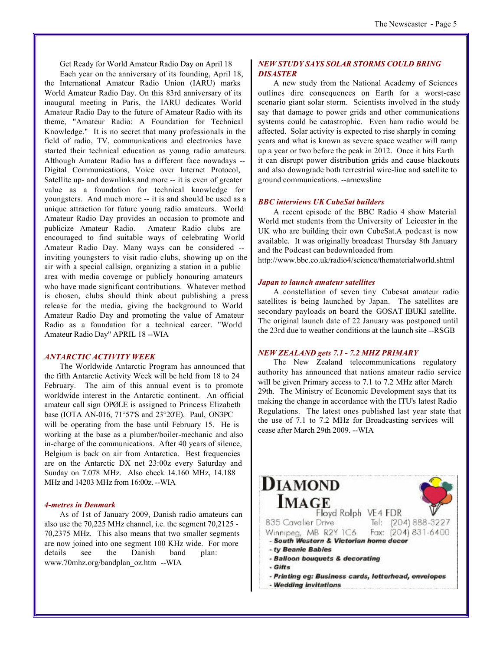Get Ready for World Amateur Radio Day on April 18

Each year on the anniversary of its founding, April 18, the International Amateur Radio Union (IARU) marks World Amateur Radio Day. On this 83rd anniversary of its inaugural meeting in Paris, the IARU dedicates World Amateur Radio Day to the future of Amateur Radio with its theme, "Amateur Radio: A Foundation for Technical Knowledge." It is no secret that many professionals in the field of radio, TV, communications and electronics have started their technical education as young radio amateurs. Although Amateur Radio has a different face nowadays -- Digital Communications, Voice over Internet Protocol, Satellite up- and downlinks and more -- it is even of greater value as a foundation for technical knowledge for youngsters. And much more -- it is and should be used as a unique attraction for future young radio amateurs. World Amateur Radio Day provides an occasion to promote and publicize Amateur Radio. Amateur Radio clubs are encouraged to find suitable ways of celebrating World Amateur Radio Day. Many ways can be considered - inviting youngsters to visit radio clubs, showing up on the air with a special callsign, organizing a station in a public area with media coverage or publicly honouring amateurs who have made significant contributions. Whatever method is chosen, clubs should think about publishing a press release for the media, giving the background to World Amateur Radio Day and promoting the value of Amateur Radio as a foundation for a technical career. "World Amateur Radio Day" APRIL 18 --WIA

#### *ANTARCTIC ACTIVITY WEEK*

The Worldwide Antarctic Program has announced that the fifth Antarctic Activity Week will be held from 18 to 24 February. The aim of this annual event is to promote worldwide interest in the Antarctic continent. An official amateur call sign OPØLE is assigned to Princess Elizabeth base (IOTA AN-016, 71°57'S and 23°20'E). Paul, ON3PC will be operating from the base until February 15. He is working at the base as a plumber/boiler-mechanic and also in-charge of the communications. After 40 years of silence, Belgium is back on air from Antarctica. Best frequencies are on the Antarctic DX net 23:00z every Saturday and Sunday on 7.078 MHz. Also check 14.160 MHz, 14.188 MHz and 14203 MHz from 16:00z. --WIA

#### *4-metres in Denmark*

As of 1st of January 2009, Danish radio amateurs can also use the 70,225 MHz channel, i.e. the segment 70,2125 - 70,2375 MHz. This also means that two smaller segments are now joined into one segment 100 KHz wide. For more details see the Danish band plan: www.70mhz.org/bandplan\_oz.htm --WIA

#### *NEW STUDY SAYS SOLAR STORMS COULD BRING DISASTER*

A new study from the National Academy of Sciences outlines dire consequences on Earth for a worst-case scenario giant solar storm. Scientists involved in the study say that damage to power grids and other communications systems could be catastrophic. Even ham radio would be affected. Solar activity is expected to rise sharply in coming years and what is known as severe space weather will ramp up a year or two before the peak in 2012. Once it hits Earth it can disrupt power distribution grids and cause blackouts and also downgrade both terrestrial wire-line and satellite to ground communications. --arnewsline

#### *BBC interviews UK CubeSat builders*

A recent episode of the BBC Radio 4 show Material World met students from the University of Leicester in the UK who are building their own CubeSat.A podcast is now available. It was originally broadcast Thursday 8th January and the Podcast can bedownloaded from

http://www.bbc.co.uk/radio4/science/thematerialworld.shtml

#### *Japan to launch amateur satellites*

A constellation of seven tiny Cubesat amateur radio satellites is being launched by Japan. The satellites are secondary payloads on board the GOSAT IBUKI satellite. The original launch date of 22 January was postponed until the 23rd due to weather conditions at the launch site --RSGB

#### *NEW ZEALAND gets 7.1 - 7.2 MHZ PRIMARY*

The New Zealand telecommunications regulatory authority has announced that nations amateur radio service will be given Primary access to 7.1 to 7.2 MHz after March 29th. The Ministry of Economic Development says that its making the change in accordance with the ITU's latest Radio Regulations. The latest ones published last year state that the use of 7.1 to 7.2 MHz for Broadcasting services will cease after March 29th 2009. --WIA

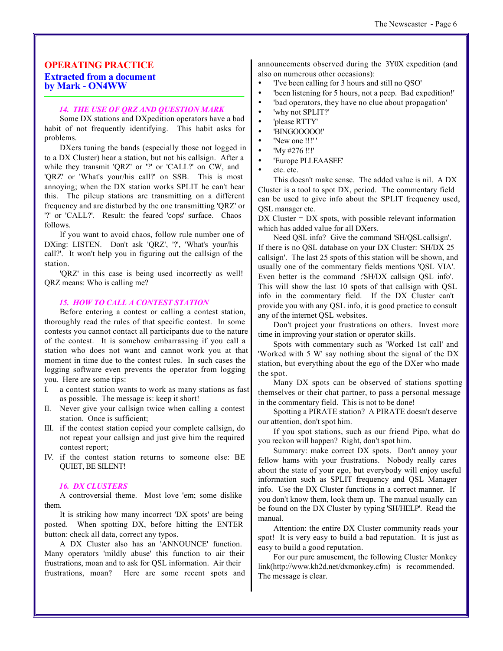#### **OPERATING PRACTICE Extracted from a document by Mark - ON4WW**

#### *14. THE USE OF QRZ AND QUESTION MARK*

Some DX stations and DXpedition operators have a bad habit of not frequently identifying. This habit asks for problems.

DXers tuning the bands (especially those not logged in to a DX Cluster) hear a station, but not his callsign. After a while they transmit 'QRZ' or '?' or 'CALL?' on CW, and 'QRZ' or 'What's your/his call?' on SSB. This is most annoying; when the DX station works SPLIT he can't hear this. The pileup stations are transmitting on a different frequency and are disturbed by the one transmitting 'QRZ' or '?' or 'CALL?'. Result: the feared 'cops' surface. Chaos follows.

If you want to avoid chaos, follow rule number one of DXing: LISTEN. Don't ask 'QRZ', '?', 'What's your/his call?'. It won't help you in figuring out the callsign of the station.

'QRZ' in this case is being used incorrectly as well! QRZ means: Who is calling me?

#### *15. HOW TO CALL A CONTEST STATION*

Before entering a contest or calling a contest station, thoroughly read the rules of that specific contest. In some contests you cannot contact all participants due to the nature of the contest. It is somehow embarrassing if you call a station who does not want and cannot work you at that moment in time due to the contest rules. In such cases the logging software even prevents the operator from logging you. Here are some tips:

- I. a contest station wants to work as many stations as fast as possible. The message is: keep it short!
- II. Never give your callsign twice when calling a contest station. Once is sufficient;
- III. if the contest station copied your complete callsign, do not repeat your callsign and just give him the required contest report;
- IV. if the contest station returns to someone else: BE QUIET, BE SILENT!

#### *16. DX CLUSTERS*

A controversial theme. Most love 'em; some dislike them.

It is striking how many incorrect 'DX spots' are being posted. When spotting DX, before hitting the ENTER button: check all data, correct any typos.

A DX Cluster also has an 'ANNOUNCE' function. Many operators 'mildly abuse' this function to air their frustrations, moan and to ask for QSL information. Air their frustrations, moan? Here are some recent spots and announcements observed during the 3Y0X expedition (and also on numerous other occasions):

- ü 'I've been calling for 3 hours and still no QSO'
- been listening for 5 hours, not a peep. Bad expedition!'
- bad operators, they have no clue about propagation'
- 'why not SPLIT?'
- 'please RTTY'
- ü 'BINGOOOOO!'
- 'New one !!!'
- ü 'My #276 !!!'
- ü 'Europe PLLEAASEE'
- ü etc. etc.

This doesn't make sense. The added value is nil. A DX Cluster is a tool to spot DX, period. The commentary field can be used to give info about the SPLIT frequency used, QSL manager etc.

 $DX$  Cluster =  $DX$  spots, with possible relevant information which has added value for all DXers.

Need QSL info? Give the command 'SH/QSL callsign'. If there is no QSL database on your DX Cluster: 'SH/DX 25 callsign'. The last 25 spots of this station will be shown, and usually one of the commentary fields mentions 'QSL VIA'. Even better is the command :'SH/DX callsign QSL info'. This will show the last 10 spots of that callsign with QSL info in the commentary field. If the DX Cluster can't provide you with any QSL info, it is good practice to consult any of the internet QSL websites.

Don't project your frustrations on others. Invest more time in improving your station or operator skills.

Spots with commentary such as 'Worked 1st call' and 'Worked with 5 W' say nothing about the signal of the DX station, but everything about the ego of the DXer who made the spot.

Many DX spots can be observed of stations spotting themselves or their chat partner, to pass a personal message in the commentary field. This is not to be done!

Spotting a PIRATE station? A PIRATE doesn't deserve our attention, don't spot him.

If you spot stations, such as our friend Pipo, what do you reckon will happen? Right, don't spot him.

Summary: make correct DX spots. Don't annoy your fellow hams with your frustrations. Nobody really cares about the state of your ego, but everybody will enjoy useful information such as SPLIT frequency and QSL Manager info. Use the DX Cluster functions in a correct manner. If you don't know them, look them up. The manual usually can be found on the DX Cluster by typing 'SH/HELP'. Read the manual.

Attention: the entire DX Cluster community reads your spot! It is very easy to build a bad reputation. It is just as easy to build a good reputation.

For our pure amusement, the following Cluster Monkey link(http://www.kh2d.net/dxmonkey.cfm) is recommended. The message is clear.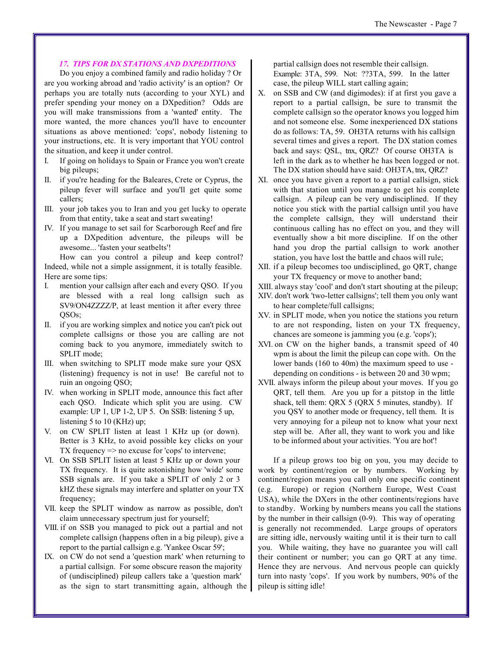#### *17. TIPS FOR DX STATIONS AND DXPEDITIONS*

Do you enjoy a combined family and radio holiday ? Or are you working abroad and 'radio activity' is an option? Or perhaps you are totally nuts (according to your XYL) and prefer spending your money on a DXpedition? Odds are you will make transmissions from a 'wanted' entity. The more wanted, the more chances you'll have to encounter situations as above mentioned: 'cops', nobody listening to your instructions, etc. It is very important that YOU control the situation, and keep it under control.

- I. If going on holidays to Spain or France you won't create big pileups;
- II. if you're heading for the Baleares, Crete or Cyprus, the pileup fever will surface and you'll get quite some callers;
- III. your job takes you to Iran and you get lucky to operate from that entity, take a seat and start sweating!
- IV. If you manage to set sail for Scarborough Reef and fire up a DXpedition adventure, the pileups will be awesome... 'fasten your seatbelts'!

How can you control a pileup and keep control? Indeed, while not a simple assignment, it is totally feasible. Here are some tips:

- I. mention your callsign after each and every QSO. If you are blessed with a real long callsign such as SV9/ON4ZZZZ/P, at least mention it after every three QSOs;
- II. if you are working simplex and notice you can't pick out complete callsigns or those you are calling are not coming back to you anymore, immediately switch to SPLIT mode;
- III. when switching to SPLIT mode make sure your QSX (listening) frequency is not in use! Be careful not to ruin an ongoing QSO;
- IV. when working in SPLIT mode, announce this fact after each QSO. Indicate which split you are using. CW example: UP 1, UP 1-2, UP 5. On SSB: listening 5 up, listening 5 to 10 (KHz) up;
- on CW SPLIT listen at least 1 KHz up (or down). Better is 3 KHz, to avoid possible key clicks on your TX frequency => no excuse for 'cops' to intervene;
- VI. On SSB SPLIT listen at least 5 KHz up or down your TX frequency. It is quite astonishing how 'wide' some SSB signals are. If you take a SPLIT of only 2 or 3 kHZ these signals may interfere and splatter on your TX frequency;
- VII. keep the SPLIT window as narrow as possible, don't claim unnecessary spectrum just for yourself;
- VIII. if on SSB you managed to pick out a partial and not complete callsign (happens often in a big pileup), give a report to the partial callsign e.g. 'Yankee Oscar 59';
- IX. on CW do not send a 'question mark' when returning to a partial callsign. For some obscure reason the majority of (undisciplined) pileup callers take a 'question mark' as the sign to start transmitting again, although the

partial callsign does not resemble their callsign. Example: 3TA, 599. Not: ??3TA, 599. In the latter case, the pileup WILL start calling again;

- X. on SSB and CW (and digimodes): if at first you gave a report to a partial callsign, be sure to transmit the complete callsign so the operator knows you logged him and not someone else. Some inexperienced DX stations do as follows: TA, 59. OH3TA returns with his callsign several times and gives a report. The DX station comes back and says: QSL, tnx, QRZ? Of course OH3TA is left in the dark as to whether he has been logged or not. The DX station should have said: OH3TA, tnx, QRZ?
- XI. once you have given a report to a partial callsign, stick with that station until you manage to get his complete callsign. A pileup can be very undisciplined. If they notice you stick with the partial callsign until you have the complete callsign, they will understand their continuous calling has no effect on you, and they will eventually show a bit more discipline. If on the other hand you drop the partial callsign to work another station, you have lost the battle and chaos will rule;
- XII. if a pileup becomes too undisciplined, go QRT, change your TX frequency or move to another band;
- XIII. always stay 'cool' and don't start shouting at the pileup;
- XIV. don't work 'two-letter callsigns'; tell them you only want to hear complete/full callsigns;
- XV. in SPLIT mode, when you notice the stations you return to are not responding, listen on your TX frequency, chances are someone is jamming you (e.g. 'cops');
- XVI. on CW on the higher bands, a transmit speed of 40 wpm is about the limit the pileup can cope with. On the lower bands (160 to 40m) the maximum speed to use depending on conditions - is between 20 and 30 wpm;
- XVII. always inform the pileup about your moves. If you go QRT, tell them. Are you up for a pitstop in the little shack, tell them: QRX 5 (QRX 5 minutes, standby). If you QSY to another mode or frequency, tell them. It is very annoying for a pileup not to know what your next step will be. After all, they want to work you and like to be informed about your activities. 'You are hot'!

If a pileup grows too big on you, you may decide to work by continent/region or by numbers. Working by continent/region means you call only one specific continent (e.g. Europe) or region (Northern Europe, West Coast USA), while the DXers in the other continents/regions have to standby. Working by numbers means you call the stations by the number in their callsign (0-9). This way of operating is generally not recommended. Large groups of operators are sitting idle, nervously waiting until it is their turn to call you. While waiting, they have no guarantee you will call their continent or number; you can go QRT at any time. Hence they are nervous. And nervous people can quickly turn into nasty 'cops'. If you work by numbers, 90% of the pileup is sitting idle!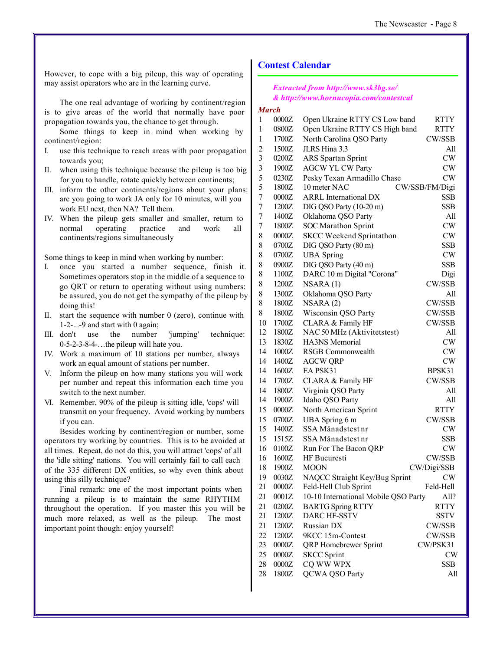However, to cope with a big pileup, this way of operating may assist operators who are in the learning curve.

The one real advantage of working by continent/region is to give areas of the world that normally have poor propagation towards you, the chance to get through.

Some things to keep in mind when working by continent/region:

- I. use this technique to reach areas with poor propagation towards you;
- II. when using this technique because the pileup is too big for you to handle, rotate quickly between continents;
- III. inform the other continents/regions about your plans: are you going to work JA only for 10 minutes, will you work EU next, then NA? Tell them.
- IV. When the pileup gets smaller and smaller, return to normal operating practice and work all continents/regions simultaneously

Some things to keep in mind when working by number:

- once you started a number sequence, finish it. Sometimes operators stop in the middle of a sequence to go QRT or return to operating without using numbers: be assured, you do not get the sympathy of the pileup by doing this!
- II. start the sequence with number 0 (zero), continue with 1-2-...-9 and start with 0 again;
- III. don't use the number 'jumping' technique: 0-5-2-3-8-4-…the pileup will hate you.
- IV. Work a maximum of 10 stations per number, always work an equal amount of stations per number.
- V. Inform the pileup on how many stations you will work per number and repeat this information each time you switch to the next number.
- VI. Remember, 90% of the pileup is sitting idle, 'cops' will transmit on your frequency. Avoid working by numbers if you can.

Besides working by continent/region or number, some operators try working by countries. This is to be avoided at all times. Repeat, do not do this, you will attract 'cops' of all the 'idle sitting' nations. You will certainly fail to call each of the 335 different DX entities, so why even think about using this silly technique?

Final remark: one of the most important points when running a pileup is to maintain the same RHYTHM throughout the operation. If you master this you will be much more relaxed, as well as the pileup. The most important point though: enjoy yourself!

#### **Contest Calendar**

#### *Extracted from http://www.sk3bg.se/ & http://www.hornucopia.com/contestcal*

#### *March*

| 0000Z |                                                                                                 | <b>RTTY</b>                                                                                                                                                                                                                                                                                                                                                                                                                                                                                                                                                                      |
|-------|-------------------------------------------------------------------------------------------------|----------------------------------------------------------------------------------------------------------------------------------------------------------------------------------------------------------------------------------------------------------------------------------------------------------------------------------------------------------------------------------------------------------------------------------------------------------------------------------------------------------------------------------------------------------------------------------|
| 0800Z | Open Ukraine RTTY CS High band                                                                  | <b>RTTY</b>                                                                                                                                                                                                                                                                                                                                                                                                                                                                                                                                                                      |
| 1700Z |                                                                                                 | CW/SSB                                                                                                                                                                                                                                                                                                                                                                                                                                                                                                                                                                           |
| 1500Z | JLRS Hina 3.3                                                                                   | All                                                                                                                                                                                                                                                                                                                                                                                                                                                                                                                                                                              |
| 0200Z | <b>ARS</b> Spartan Sprint                                                                       | CW                                                                                                                                                                                                                                                                                                                                                                                                                                                                                                                                                                               |
| 1900Z |                                                                                                 | CW                                                                                                                                                                                                                                                                                                                                                                                                                                                                                                                                                                               |
| 0230Z |                                                                                                 | <b>CW</b>                                                                                                                                                                                                                                                                                                                                                                                                                                                                                                                                                                        |
| 1800Z | 10 meter NAC                                                                                    | CW/SSB/FM/Digi                                                                                                                                                                                                                                                                                                                                                                                                                                                                                                                                                                   |
| 0000Z | <b>ARRL</b> International DX                                                                    | SSB                                                                                                                                                                                                                                                                                                                                                                                                                                                                                                                                                                              |
| 1200Z | DIG QSO Party (10-20 m)                                                                         | SSB                                                                                                                                                                                                                                                                                                                                                                                                                                                                                                                                                                              |
| 1400Z | Oklahoma QSO Party                                                                              | All                                                                                                                                                                                                                                                                                                                                                                                                                                                                                                                                                                              |
| 1800Z | <b>SOC Marathon Sprint</b>                                                                      | CW                                                                                                                                                                                                                                                                                                                                                                                                                                                                                                                                                                               |
| 0000Z | <b>SKCC Weekend Sprintathon</b>                                                                 | CW                                                                                                                                                                                                                                                                                                                                                                                                                                                                                                                                                                               |
| 0700Z | DIG QSO Party (80 m)                                                                            | SSB                                                                                                                                                                                                                                                                                                                                                                                                                                                                                                                                                                              |
| 0700Z | <b>UBA</b> Spring                                                                               | CW                                                                                                                                                                                                                                                                                                                                                                                                                                                                                                                                                                               |
| 0900Z | DIG QSO Party (40 m)                                                                            | <b>SSB</b>                                                                                                                                                                                                                                                                                                                                                                                                                                                                                                                                                                       |
| 1100Z | DARC 10 m Digital "Corona"                                                                      | Digi                                                                                                                                                                                                                                                                                                                                                                                                                                                                                                                                                                             |
| 1200Z | NSARA(1)                                                                                        | CW/SSB                                                                                                                                                                                                                                                                                                                                                                                                                                                                                                                                                                           |
| 1300Z | Oklahoma QSO Party                                                                              | All                                                                                                                                                                                                                                                                                                                                                                                                                                                                                                                                                                              |
| 1800Z | NSARA(2)                                                                                        | CW/SSB                                                                                                                                                                                                                                                                                                                                                                                                                                                                                                                                                                           |
| 1800Z | Wisconsin QSO Party                                                                             | CW/SSB                                                                                                                                                                                                                                                                                                                                                                                                                                                                                                                                                                           |
| 1700Z | CLARA & Family HF                                                                               | CW/SSB                                                                                                                                                                                                                                                                                                                                                                                                                                                                                                                                                                           |
| 1800Z |                                                                                                 | All                                                                                                                                                                                                                                                                                                                                                                                                                                                                                                                                                                              |
| 1830Z | HA3NS Memorial                                                                                  | CW                                                                                                                                                                                                                                                                                                                                                                                                                                                                                                                                                                               |
| 1000Z | <b>RSGB</b> Commonwealth                                                                        | CW                                                                                                                                                                                                                                                                                                                                                                                                                                                                                                                                                                               |
| 1400Z |                                                                                                 | CW                                                                                                                                                                                                                                                                                                                                                                                                                                                                                                                                                                               |
| 1600Z | EA PSK31                                                                                        | BPSK31                                                                                                                                                                                                                                                                                                                                                                                                                                                                                                                                                                           |
| 1700Z |                                                                                                 | CW/SSB                                                                                                                                                                                                                                                                                                                                                                                                                                                                                                                                                                           |
| 1800Z | Virginia QSO Party                                                                              | All                                                                                                                                                                                                                                                                                                                                                                                                                                                                                                                                                                              |
| 1900Z | Idaho QSO Party                                                                                 | All                                                                                                                                                                                                                                                                                                                                                                                                                                                                                                                                                                              |
| 0000Z |                                                                                                 | <b>RTTY</b>                                                                                                                                                                                                                                                                                                                                                                                                                                                                                                                                                                      |
| 0700Z |                                                                                                 | CW/SSB                                                                                                                                                                                                                                                                                                                                                                                                                                                                                                                                                                           |
| 1400Z |                                                                                                 | CW                                                                                                                                                                                                                                                                                                                                                                                                                                                                                                                                                                               |
| 1515Z | SSA Månadstest nr                                                                               | SSB                                                                                                                                                                                                                                                                                                                                                                                                                                                                                                                                                                              |
| 0100Z |                                                                                                 | <b>CW</b>                                                                                                                                                                                                                                                                                                                                                                                                                                                                                                                                                                        |
|       |                                                                                                 | CW/SSB                                                                                                                                                                                                                                                                                                                                                                                                                                                                                                                                                                           |
| 1900Z |                                                                                                 | CW/Digi/SSB                                                                                                                                                                                                                                                                                                                                                                                                                                                                                                                                                                      |
| 0030Z |                                                                                                 | <b>CW</b>                                                                                                                                                                                                                                                                                                                                                                                                                                                                                                                                                                        |
|       |                                                                                                 | Feld-Hell                                                                                                                                                                                                                                                                                                                                                                                                                                                                                                                                                                        |
|       |                                                                                                 | All?                                                                                                                                                                                                                                                                                                                                                                                                                                                                                                                                                                             |
|       |                                                                                                 | <b>RTTY</b>                                                                                                                                                                                                                                                                                                                                                                                                                                                                                                                                                                      |
|       |                                                                                                 | SSTV                                                                                                                                                                                                                                                                                                                                                                                                                                                                                                                                                                             |
|       |                                                                                                 | CW/SSB                                                                                                                                                                                                                                                                                                                                                                                                                                                                                                                                                                           |
|       |                                                                                                 | CW/SSB                                                                                                                                                                                                                                                                                                                                                                                                                                                                                                                                                                           |
|       |                                                                                                 | CW/PSK31                                                                                                                                                                                                                                                                                                                                                                                                                                                                                                                                                                         |
|       |                                                                                                 | <b>CW</b>                                                                                                                                                                                                                                                                                                                                                                                                                                                                                                                                                                        |
|       |                                                                                                 | <b>SSB</b>                                                                                                                                                                                                                                                                                                                                                                                                                                                                                                                                                                       |
|       |                                                                                                 | All                                                                                                                                                                                                                                                                                                                                                                                                                                                                                                                                                                              |
|       | 1600Z<br>0000Z<br>0001Z<br>0200Z<br>1200Z<br>1200Z<br>1200Z<br>0000Z<br>0000Z<br>0000Z<br>1800Z | Open Ukraine RTTY CS Low band<br>North Carolina QSO Party<br><b>AGCW YL CW Party</b><br>Pesky Texan Armadillo Chase<br>NAC 50 MHz (Aktivitetstest)<br><b>AGCW QRP</b><br>CLARA & Family HF<br>North American Sprint<br>UBA Spring 6 m<br>SSA Månadstest nr<br>Run For The Bacon QRP<br>HF Bucuresti<br><b>MOON</b><br>NAQCC Straight Key/Bug Sprint<br>Feld-Hell Club Sprint<br>10-10 International Mobile QSO Party<br><b>BARTG Spring RTTY</b><br>DARC HF-SSTV<br>Russian DX<br>9KCC 15m-Contest<br>QRP Homebrewer Sprint<br><b>SKCC</b> Sprint<br>CQ WW WPX<br>QCWA QSO Party |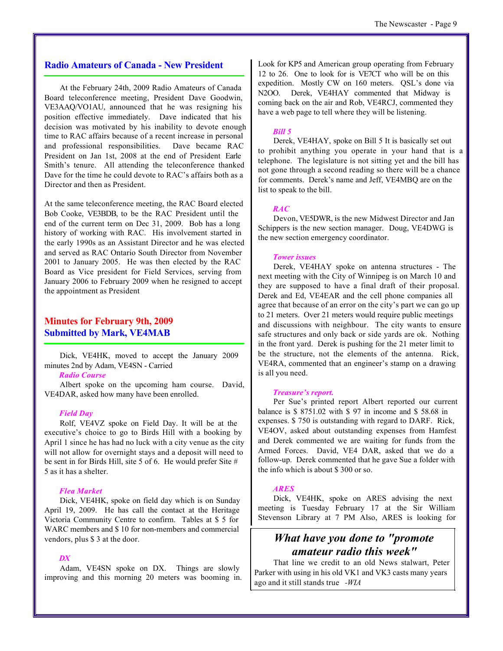#### **Radio Amateurs of Canada - New President**

At the February 24th, 2009 Radio Amateurs of Canada Board teleconference meeting, President Dave Goodwin, VE3AAQ/VO1AU, announced that he was resigning his position effective immediately. Dave indicated that his decision was motivated by his inability to devote enough time to RAC affairs because of a recent increase in personal and professional responsibilities. Dave became RAC President on Jan 1st, 2008 at the end of President Earle Smith's tenure. All attending the teleconference thanked Dave for the time he could devote to RAC's affairs both as a Director and then as President.

At the same teleconference meeting, the RAC Board elected Bob Cooke, VE3BDB, to be the RAC President until the end of the current term on Dec 31, 2009. Bob has a long history of working with RAC. His involvement started in the early 1990s as an Assistant Director and he was elected and served as RAC Ontario South Director from November 2001 to January 2005. He was then elected by the RAC Board as Vice president for Field Services, serving from January 2006 to February 2009 when he resigned to accept the appointment as President

#### **Minutes for February 9th, 2009 Submitted by Mark, VE4MAB**

Dick, VE4HK, moved to accept the January 2009 minutes 2nd by Adam, VE4SN - Carried

#### *Radio Course*

Albert spoke on the upcoming ham course. David, VE4DAR, asked how many have been enrolled.

#### *Field Day*

Rolf, VE4VZ spoke on Field Day. It will be at the executive's choice to go to Birds Hill with a booking by April 1 since he has had no luck with a city venue as the city will not allow for overnight stays and a deposit will need to be sent in for Birds Hill, site 5 of 6. He would prefer Site # 5 as it has a shelter.

#### *Flea Market*

Dick, VE4HK, spoke on field day which is on Sunday April 19, 2009. He has call the contact at the Heritage Victoria Community Centre to confirm. Tables at \$ 5 for WARC members and \$ 10 for non-members and commercial vendors, plus \$ 3 at the door.

#### *DX*

Adam, VE4SN spoke on DX. Things are slowly improving and this morning 20 meters was booming in. Look for KP5 and American group operating from February 12 to 26. One to look for is VE7CT who will be on this expedition. Mostly CW on 160 meters. QSL's done via N2OO. Derek, VE4HAY commented that Midway is coming back on the air and Rob, VE4RCJ, commented they have a web page to tell where they will be listening.

#### *Bill 5*

Derek, VE4HAY, spoke on Bill 5 It is basically set out to prohibit anything you operate in your hand that is a telephone. The legislature is not sitting yet and the bill has not gone through a second reading so there will be a chance for comments. Derek's name and Jeff, VE4MBQ are on the list to speak to the bill.

#### *RAC*

Devon, VE5DWR, is the new Midwest Director and Jan Schippers is the new section manager. Doug, VE4DWG is the new section emergency coordinator.

#### *Tower issues*

Derek, VE4HAY spoke on antenna structures - The next meeting with the City of Winnipeg is on March 10 and they are supposed to have a final draft of their proposal. Derek and Ed, VE4EAR and the cell phone companies all agree that because of an error on the city's part we can go up to 21 meters. Over 21 meters would require public meetings and discussions with neighbour. The city wants to ensure safe structures and only back or side yards are ok. Nothing in the front yard. Derek is pushing for the 21 meter limit to be the structure, not the elements of the antenna. Rick, VE4RA, commented that an engineer's stamp on a drawing is all you need.

#### *Treasure's report.*

Per Sue's printed report Albert reported our current balance is \$ 8751.02 with \$ 97 in income and \$ 58.68 in expenses. \$ 750 is outstanding with regard to DARF. Rick, VE4OV, asked about outstanding expenses from Hamfest and Derek commented we are waiting for funds from the Armed Forces. David, VE4 DAR, asked that we do a follow-up. Derek commented that he gave Sue a folder with the info which is about \$ 300 or so.

#### *ARES*

Dick, VE4HK, spoke on ARES advising the next meeting is Tuesday February 17 at the Sir William Stevenson Library at 7 PM Also, ARES is looking for

## *What have you done to "promote amateur radio this week"*

 That line we credit to an old News stalwart, Peter Parker with using in his old VK1 and VK3 casts many years ago and it still stands true *-WIA*